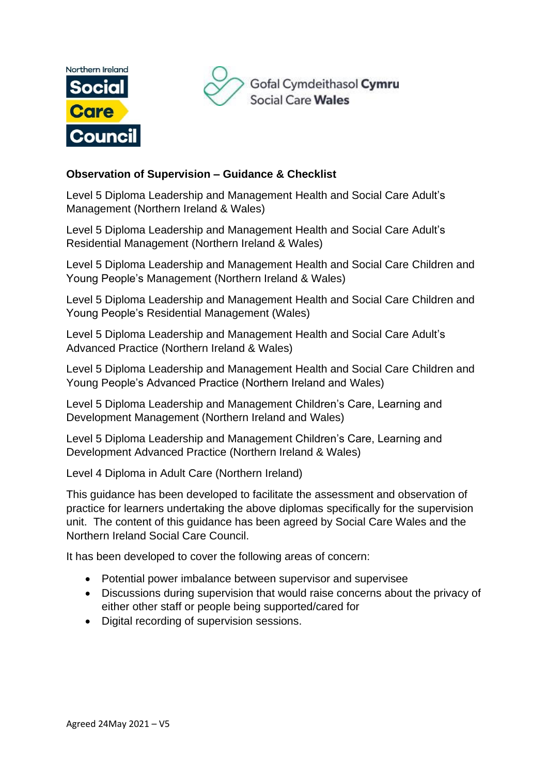



## **Observation of Supervision – Guidance & Checklist**

Level 5 Diploma Leadership and Management Health and Social Care Adult's Management (Northern Ireland & Wales)

Level 5 Diploma Leadership and Management Health and Social Care Adult's Residential Management (Northern Ireland & Wales)

Level 5 Diploma Leadership and Management Health and Social Care Children and Young People's Management (Northern Ireland & Wales)

Level 5 Diploma Leadership and Management Health and Social Care Children and Young People's Residential Management (Wales)

Level 5 Diploma Leadership and Management Health and Social Care Adult's Advanced Practice (Northern Ireland & Wales)

Level 5 Diploma Leadership and Management Health and Social Care Children and Young People's Advanced Practice (Northern Ireland and Wales)

Level 5 Diploma Leadership and Management Children's Care, Learning and Development Management (Northern Ireland and Wales)

Level 5 Diploma Leadership and Management Children's Care, Learning and Development Advanced Practice (Northern Ireland & Wales)

Level 4 Diploma in Adult Care (Northern Ireland)

This guidance has been developed to facilitate the assessment and observation of practice for learners undertaking the above diplomas specifically for the supervision unit. The content of this guidance has been agreed by Social Care Wales and the Northern Ireland Social Care Council.

It has been developed to cover the following areas of concern:

- Potential power imbalance between supervisor and supervisee
- Discussions during supervision that would raise concerns about the privacy of either other staff or people being supported/cared for
- Digital recording of supervision sessions.